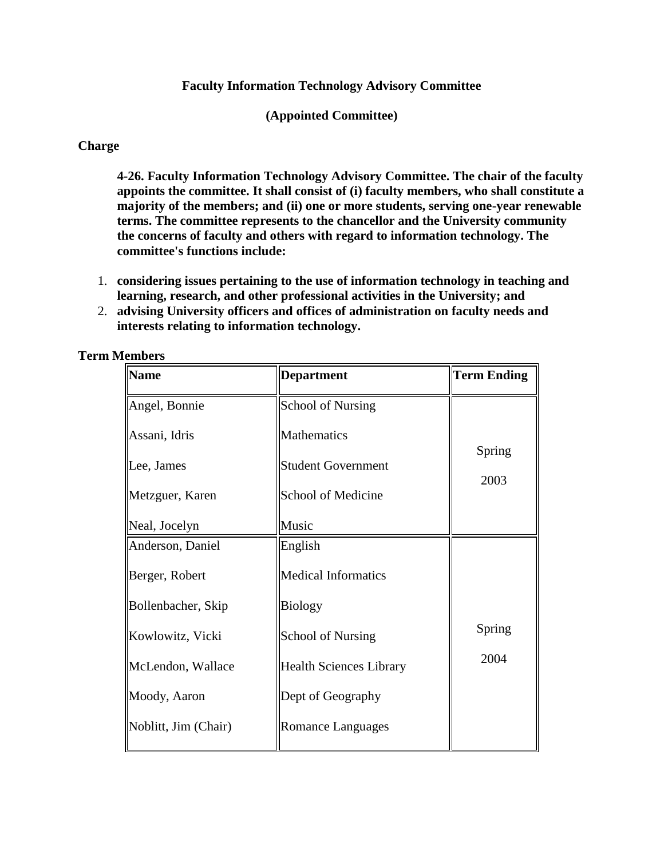#### **Faculty Information Technology Advisory Committee**

**(Appointed Committee)**

#### **Charge**

**4-26. Faculty Information Technology Advisory Committee. The chair of the faculty appoints the committee. It shall consist of (i) faculty members, who shall constitute a majority of the members; and (ii) one or more students, serving one-year renewable terms. The committee represents to the chancellor and the University community the concerns of faculty and others with regard to information technology. The committee's functions include:**

- 1. **considering issues pertaining to the use of information technology in teaching and learning, research, and other professional activities in the University; and**
- 2. **advising University officers and offices of administration on faculty needs and interests relating to information technology.**

| <b>Name</b>          | <b>Department</b>              | <b>Term Ending</b> |
|----------------------|--------------------------------|--------------------|
| Angel, Bonnie        | <b>School of Nursing</b>       |                    |
| Assani, Idris        | Mathematics                    |                    |
| Lee, James           | <b>Student Government</b>      | Spring             |
| Metzguer, Karen      | School of Medicine             | 2003               |
| Neal, Jocelyn        | Music                          |                    |
| Anderson, Daniel     | English                        |                    |
| Berger, Robert       | <b>Medical Informatics</b>     |                    |
| Bollenbacher, Skip   | <b>Biology</b>                 |                    |
| Kowlowitz, Vicki     | <b>School of Nursing</b>       | Spring             |
| McLendon, Wallace    | <b>Health Sciences Library</b> | 2004               |
| Moody, Aaron         | Dept of Geography              |                    |
| Noblitt, Jim (Chair) | <b>Romance Languages</b>       |                    |
|                      |                                |                    |

**Term Members**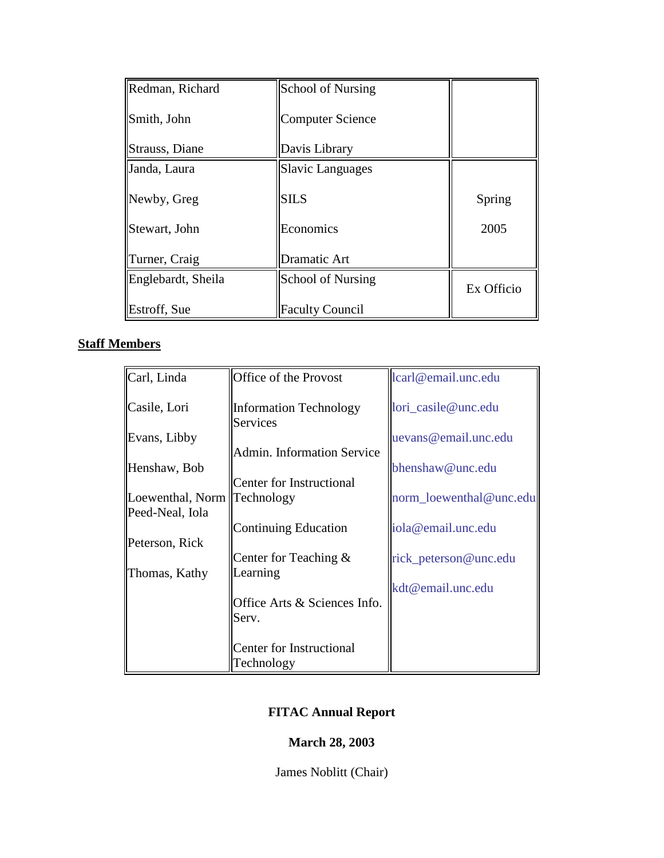| Redman, Richard    | <b>School of Nursing</b> |            |
|--------------------|--------------------------|------------|
| Smith, John        | Computer Science         |            |
| Strauss, Diane     | Davis Library            |            |
| Janda, Laura       | <b>Slavic Languages</b>  |            |
| Newby, Greg        | <b>SILS</b>              | Spring     |
| Stewart, John      | Economics                | 2005       |
| Turner, Craig      | Dramatic Art             |            |
| Englebardt, Sheila | <b>School of Nursing</b> | Ex Officio |
| Estroff, Sue       | <b>Faculty Council</b>   |            |

# **Staff Members**

| Carl, Linda                   | Office of the Provost                            | lcarl@email.unc.edu     |
|-------------------------------|--------------------------------------------------|-------------------------|
| Casile, Lori                  | <b>Information Technology</b><br><b>Services</b> | lori_casile@unc.edu     |
| Evans, Libby                  |                                                  | uevans@email.unc.edu    |
|                               | Admin. Information Service                       |                         |
| Henshaw, Bob                  |                                                  | bhenshaw@unc.edu        |
|                               | Center for Instructional                         |                         |
| Loewenthal, Norm   Technology |                                                  | norm loewenthal@unc.edu |
| Peed-Neal, Iola               |                                                  |                         |
|                               | Continuing Education                             | iola@email.unc.edu      |
| Peterson, Rick                |                                                  |                         |
|                               | Center for Teaching $\&$                         | rick_peterson@unc.edu   |
| Thomas, Kathy                 | Learning                                         |                         |
|                               |                                                  | kdt@email.unc.edu       |
|                               | Office Arts & Sciences Info.                     |                         |
|                               | Serv.                                            |                         |
|                               |                                                  |                         |
|                               | Center for Instructional                         |                         |
|                               | Technology                                       |                         |

# **FITAC Annual Report**

# **March 28, 2003**

James Noblitt (Chair)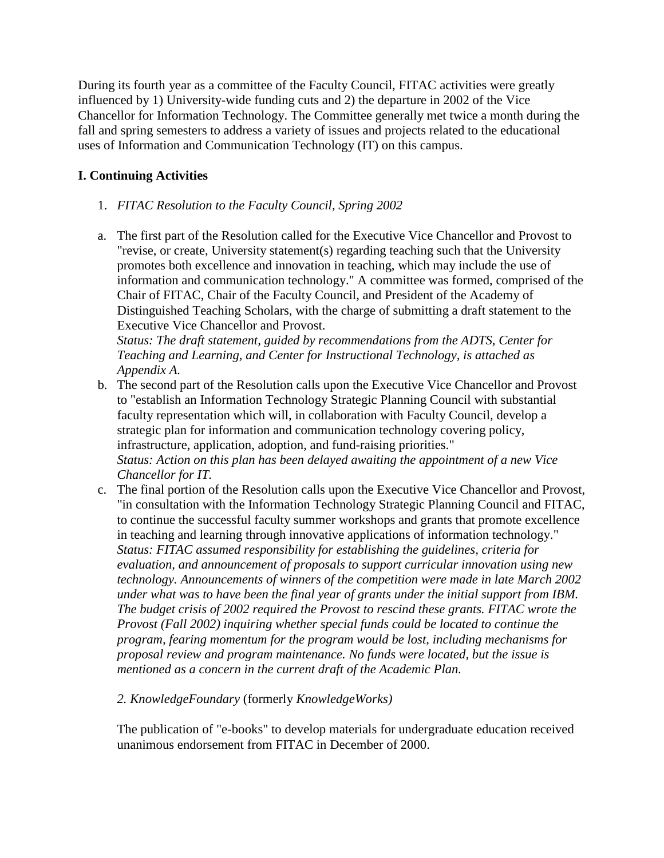During its fourth year as a committee of the Faculty Council, FITAC activities were greatly influenced by 1) University-wide funding cuts and 2) the departure in 2002 of the Vice Chancellor for Information Technology. The Committee generally met twice a month during the fall and spring semesters to address a variety of issues and projects related to the educational uses of Information and Communication Technology (IT) on this campus.

# **I. Continuing Activities**

- 1. *FITAC Resolution to the Faculty Council, Spring 2002*
- a. The first part of the Resolution called for the Executive Vice Chancellor and Provost to "revise, or create, University statement(s) regarding teaching such that the University promotes both excellence and innovation in teaching, which may include the use of information and communication technology." A committee was formed, comprised of the Chair of FITAC, Chair of the Faculty Council, and President of the Academy of Distinguished Teaching Scholars, with the charge of submitting a draft statement to the Executive Vice Chancellor and Provost.

*Status: The draft statement, guided by recommendations from the ADTS, Center for Teaching and Learning, and Center for Instructional Technology, is attached as Appendix A.*

- b. The second part of the Resolution calls upon the Executive Vice Chancellor and Provost to "establish an Information Technology Strategic Planning Council with substantial faculty representation which will, in collaboration with Faculty Council, develop a strategic plan for information and communication technology covering policy, infrastructure, application, adoption, and fund-raising priorities." *Status: Action on this plan has been delayed awaiting the appointment of a new Vice Chancellor for IT.*
- c. The final portion of the Resolution calls upon the Executive Vice Chancellor and Provost, "in consultation with the Information Technology Strategic Planning Council and FITAC, to continue the successful faculty summer workshops and grants that promote excellence in teaching and learning through innovative applications of information technology." *Status: FITAC assumed responsibility for establishing the guidelines, criteria for evaluation, and announcement of proposals to support curricular innovation using new technology. Announcements of winners of the competition were made in late March 2002 under what was to have been the final year of grants under the initial support from IBM. The budget crisis of 2002 required the Provost to rescind these grants. FITAC wrote the Provost (Fall 2002) inquiring whether special funds could be located to continue the program, fearing momentum for the program would be lost, including mechanisms for proposal review and program maintenance. No funds were located, but the issue is mentioned as a concern in the current draft of the Academic Plan.*

## *2. KnowledgeFoundary* (formerly *KnowledgeWorks)*

The publication of "e-books" to develop materials for undergraduate education received unanimous endorsement from FITAC in December of 2000.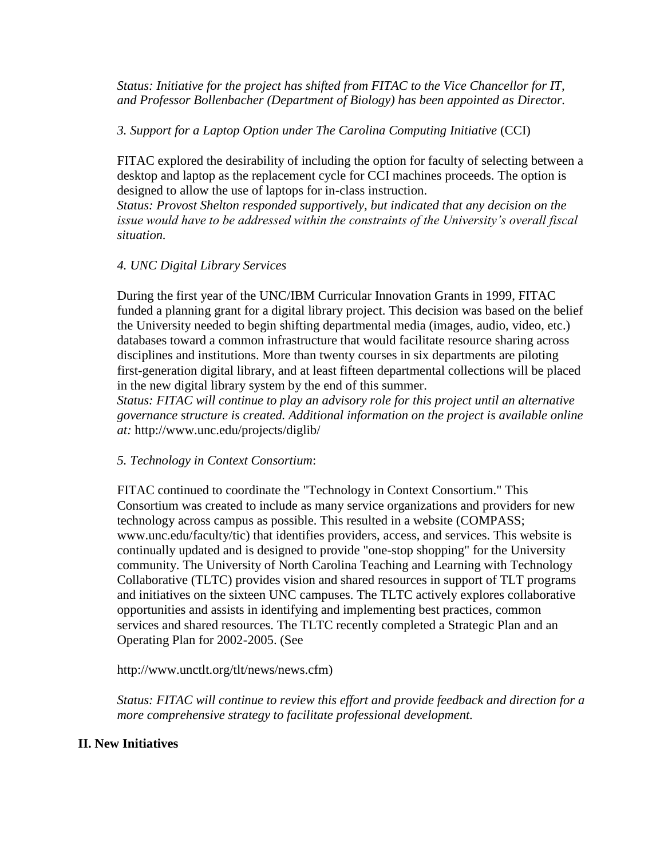*Status: Initiative for the project has shifted from FITAC to the Vice Chancellor for IT, and Professor Bollenbacher (Department of Biology) has been appointed as Director.*

#### *3. Support for a Laptop Option under The Carolina Computing Initiative* (CCI)

FITAC explored the desirability of including the option for faculty of selecting between a desktop and laptop as the replacement cycle for CCI machines proceeds. The option is designed to allow the use of laptops for in-class instruction.

*Status: Provost Shelton responded supportively, but indicated that any decision on the issue would have to be addressed within the constraints of the University's overall fiscal situation.*

#### *4. UNC Digital Library Services*

During the first year of the UNC/IBM Curricular Innovation Grants in 1999, FITAC funded a planning grant for a digital library project. This decision was based on the belief the University needed to begin shifting departmental media (images, audio, video, etc.) databases toward a common infrastructure that would facilitate resource sharing across disciplines and institutions. More than twenty courses in six departments are piloting first-generation digital library, and at least fifteen departmental collections will be placed in the new digital library system by the end of this summer.

*Status: FITAC will continue to play an advisory role for this project until an alternative governance structure is created. Additional information on the project is available online at:* http://www.unc.edu/projects/diglib/

#### *5. Technology in Context Consortium*:

FITAC continued to coordinate the "Technology in Context Consortium." This Consortium was created to include as many service organizations and providers for new technology across campus as possible. This resulted in a website (COMPASS; www.unc.edu/faculty/tic) that identifies providers, access, and services. This website is continually updated and is designed to provide "one-stop shopping" for the University community. The University of North Carolina Teaching and Learning with Technology Collaborative (TLTC) provides vision and shared resources in support of TLT programs and initiatives on the sixteen UNC campuses. The TLTC actively explores collaborative opportunities and assists in identifying and implementing best practices, common services and shared resources. The TLTC recently completed a Strategic Plan and an Operating Plan for 2002-2005. (See

http://www.unctlt.org/tlt/news/news.cfm)

*Status: FITAC will continue to review this effort and provide feedback and direction for a more comprehensive strategy to facilitate professional development.*

## **II. New Initiatives**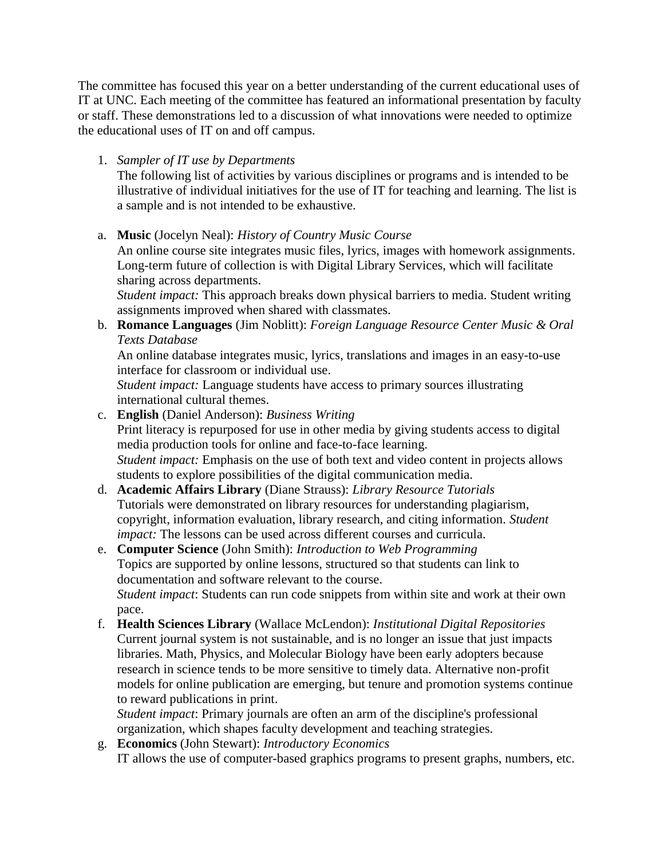The committee has focused this year on a better understanding of the current educational uses of IT at UNC. Each meeting of the committee has featured an informational presentation by faculty or staff. These demonstrations led to a discussion of what innovations were needed to optimize the educational uses of IT on and off campus.

# 1. *Sampler of IT use by Departments*

The following list of activities by various disciplines or programs and is intended to be illustrative of individual initiatives for the use of IT for teaching and learning. The list is a sample and is not intended to be exhaustive.

a. **Music** (Jocelyn Neal): *History of Country Music Course*

An online course site integrates music files, lyrics, images with homework assignments. Long-term future of collection is with Digital Library Services, which will facilitate sharing across departments.

*Student impact:* This approach breaks down physical barriers to media. Student writing assignments improved when shared with classmates.

b. **Romance Languages** (Jim Noblitt): *Foreign Language Resource Center Music & Oral Texts Database*

An online database integrates music, lyrics, translations and images in an easy-to-use interface for classroom or individual use.

*Student impact:* Language students have access to primary sources illustrating international cultural themes.

c. **English** (Daniel Anderson): *Business Writing* Print literacy is repurposed for use in other media by giving students access to digital media production tools for online and face-to-face learning. *Student impact:* Emphasis on the use of both text and video content in projects allows students to explore possibilities of the digital communication media.

#### d. **Academic Affairs Library** (Diane Strauss): *Library Resource Tutorials* Tutorials were demonstrated on library resources for understanding plagiarism, copyright, information evaluation, library research, and citing information. *Student impact:* The lessons can be used across different courses and curricula.

## e. **Computer Science** (John Smith): *Introduction to Web Programming* Topics are supported by online lessons, structured so that students can link to documentation and software relevant to the course. *Student impact*: Students can run code snippets from within site and work at their own pace.

f. **Health Sciences Library** (Wallace McLendon): *Institutional Digital Repositories* Current journal system is not sustainable, and is no longer an issue that just impacts libraries. Math, Physics, and Molecular Biology have been early adopters because research in science tends to be more sensitive to timely data. Alternative non-profit models for online publication are emerging, but tenure and promotion systems continue to reward publications in print.

*Student impact*: Primary journals are often an arm of the discipline's professional organization, which shapes faculty development and teaching strategies.

g. **Economics** (John Stewart): *Introductory Economics* IT allows the use of computer-based graphics programs to present graphs, numbers, etc.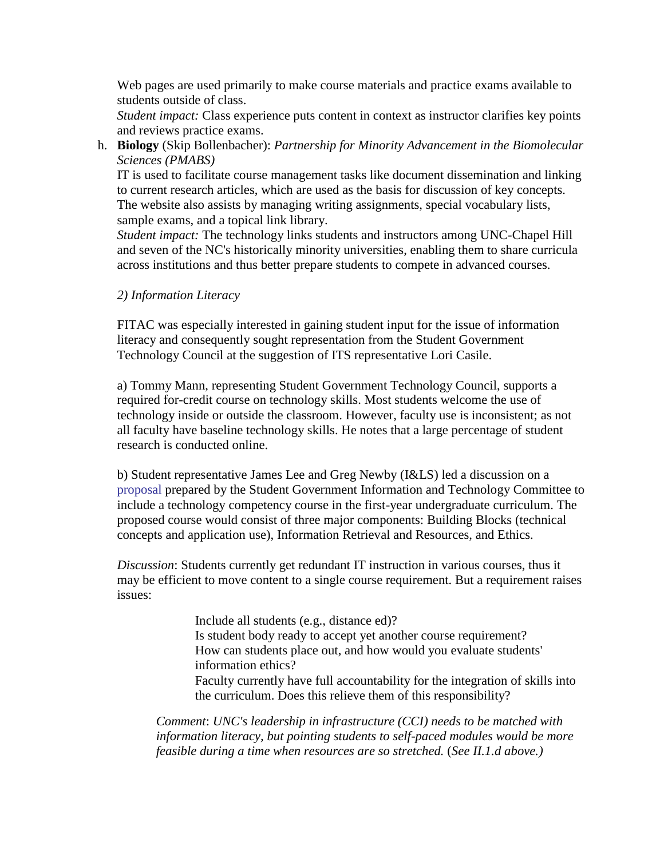Web pages are used primarily to make course materials and practice exams available to students outside of class.

*Student impact:* Class experience puts content in context as instructor clarifies key points and reviews practice exams.

h. **Biology** (Skip Bollenbacher): *Partnership for Minority Advancement in the Biomolecular Sciences (PMABS)*

IT is used to facilitate course management tasks like document dissemination and linking to current research articles, which are used as the basis for discussion of key concepts. The website also assists by managing writing assignments, special vocabulary lists, sample exams, and a topical link library.

*Student impact:* The technology links students and instructors among UNC-Chapel Hill and seven of the NC's historically minority universities, enabling them to share curricula across institutions and thus better prepare students to compete in advanced courses.

#### *2) Information Literacy*

FITAC was especially interested in gaining student input for the issue of information literacy and consequently sought representation from the Student Government Technology Council at the suggestion of ITS representative Lori Casile.

a) Tommy Mann, representing Student Government Technology Council, supports a required for-credit course on technology skills. Most students welcome the use of technology inside or outside the classroom. However, faculty use is inconsistent; as not all faculty have baseline technology skills. He notes that a large percentage of student research is conducted online.

b) Student representative James Lee and Greg Newby (I&LS) led a discussion on a [proposal](http://www.unc.edu/faculty/faccoun/ITcourse_proposal1.doc) prepared by the Student Government Information and Technology Committee to include a technology competency course in the first-year undergraduate curriculum. The proposed course would consist of three major components: Building Blocks (technical concepts and application use), Information Retrieval and Resources, and Ethics.

*Discussion*: Students currently get redundant IT instruction in various courses, thus it may be efficient to move content to a single course requirement. But a requirement raises issues:

> Include all students (e.g., distance ed)? Is student body ready to accept yet another course requirement? How can students place out, and how would you evaluate students' information ethics? Faculty currently have full accountability for the integration of skills into the curriculum. Does this relieve them of this responsibility?

*Comment*: *UNC's leadership in infrastructure (CCI) needs to be matched with information literacy, but pointing students to self-paced modules would be more feasible during a time when resources are so stretched.* (*See II.1.d above.)*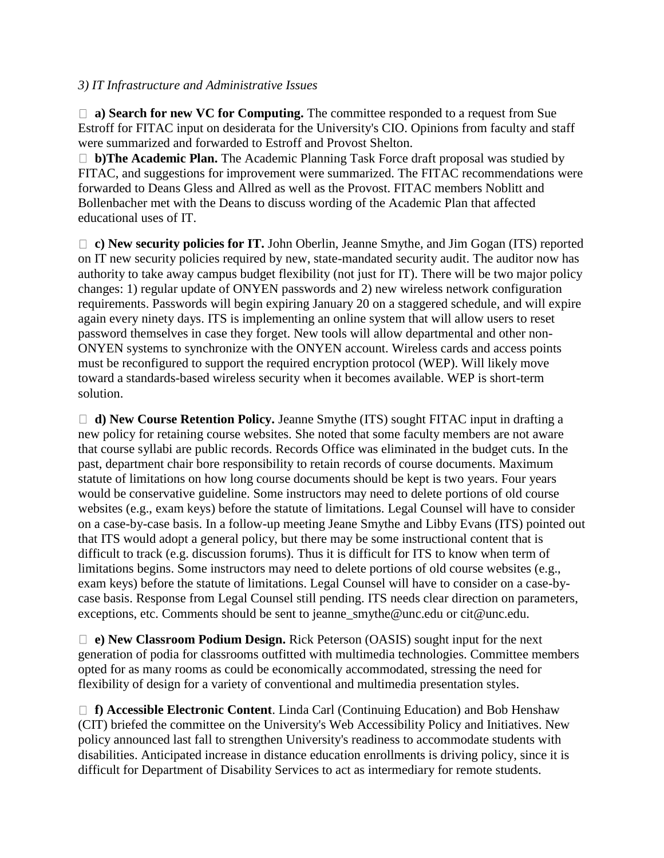#### *3) IT Infrastructure and Administrative Issues*

□ **a) Search for new VC for Computing.** The committee responded to a request from Sue Estroff for FITAC input on desiderata for the University's CIO. Opinions from faculty and staff were summarized and forwarded to Estroff and Provost Shelton.

 **b)The Academic Plan.** The Academic Planning Task Force draft proposal was studied by FITAC, and suggestions for improvement were summarized. The FITAC recommendations were forwarded to Deans Gless and Allred as well as the Provost. FITAC members Noblitt and Bollenbacher met with the Deans to discuss wording of the Academic Plan that affected educational uses of IT.

 **c) New security policies for IT.** John Oberlin, Jeanne Smythe, and Jim Gogan (ITS) reported on IT new security policies required by new, state-mandated security audit. The auditor now has authority to take away campus budget flexibility (not just for IT). There will be two major policy changes: 1) regular update of ONYEN passwords and 2) new wireless network configuration requirements. Passwords will begin expiring January 20 on a staggered schedule, and will expire again every ninety days. ITS is implementing an online system that will allow users to reset password themselves in case they forget. New tools will allow departmental and other non-ONYEN systems to synchronize with the ONYEN account. Wireless cards and access points must be reconfigured to support the required encryption protocol (WEP). Will likely move toward a standards-based wireless security when it becomes available. WEP is short-term solution.

 **d) New Course Retention Policy.** Jeanne Smythe (ITS) sought FITAC input in drafting a new policy for retaining course websites. She noted that some faculty members are not aware that course syllabi are public records. Records Office was eliminated in the budget cuts. In the past, department chair bore responsibility to retain records of course documents. Maximum statute of limitations on how long course documents should be kept is two years. Four years would be conservative guideline. Some instructors may need to delete portions of old course websites (e.g., exam keys) before the statute of limitations. Legal Counsel will have to consider on a case-by-case basis. In a follow-up meeting Jeane Smythe and Libby Evans (ITS) pointed out that ITS would adopt a general policy, but there may be some instructional content that is difficult to track (e.g. discussion forums). Thus it is difficult for ITS to know when term of limitations begins. Some instructors may need to delete portions of old course websites (e.g., exam keys) before the statute of limitations. Legal Counsel will have to consider on a case-bycase basis. Response from Legal Counsel still pending. ITS needs clear direction on parameters, exceptions, etc. Comments should be sent to jeanne\_smythe@unc.edu or cit@unc.edu.

 **e) New Classroom Podium Design.** Rick Peterson (OASIS) sought input for the next generation of podia for classrooms outfitted with multimedia technologies. Committee members opted for as many rooms as could be economically accommodated, stressing the need for flexibility of design for a variety of conventional and multimedia presentation styles.

 **f) Accessible Electronic Content**. Linda Carl (Continuing Education) and Bob Henshaw (CIT) briefed the committee on the University's Web Accessibility Policy and Initiatives. New policy announced last fall to strengthen University's readiness to accommodate students with disabilities. Anticipated increase in distance education enrollments is driving policy, since it is difficult for Department of Disability Services to act as intermediary for remote students.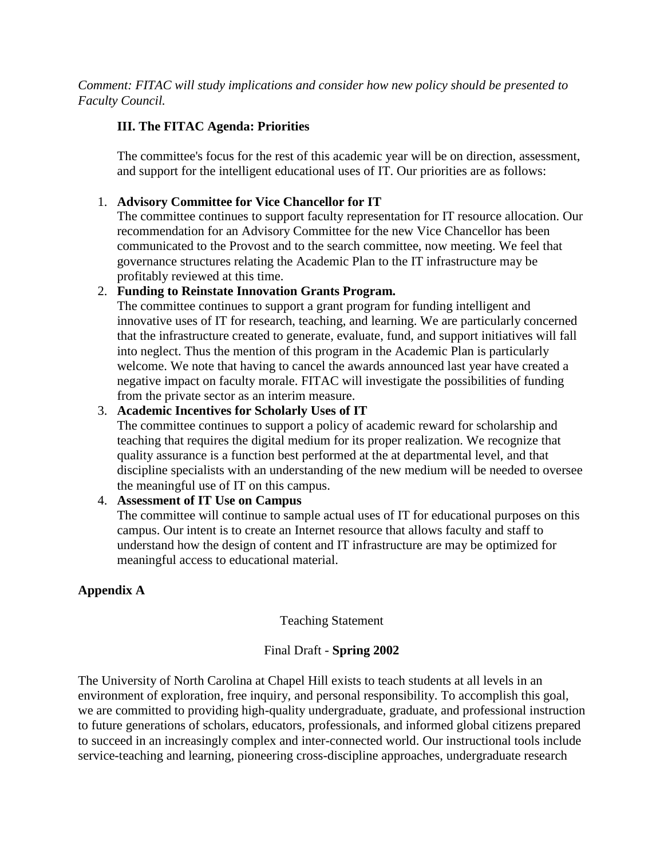*Comment: FITAC will study implications and consider how new policy should be presented to Faculty Council.*

## **III. The FITAC Agenda: Priorities**

The committee's focus for the rest of this academic year will be on direction, assessment, and support for the intelligent educational uses of IT. Our priorities are as follows:

#### 1. **Advisory Committee for Vice Chancellor for IT**

The committee continues to support faculty representation for IT resource allocation. Our recommendation for an Advisory Committee for the new Vice Chancellor has been communicated to the Provost and to the search committee, now meeting. We feel that governance structures relating the Academic Plan to the IT infrastructure may be profitably reviewed at this time.

#### 2. **Funding to Reinstate Innovation Grants Program.**

The committee continues to support a grant program for funding intelligent and innovative uses of IT for research, teaching, and learning. We are particularly concerned that the infrastructure created to generate, evaluate, fund, and support initiatives will fall into neglect. Thus the mention of this program in the Academic Plan is particularly welcome. We note that having to cancel the awards announced last year have created a negative impact on faculty morale. FITAC will investigate the possibilities of funding from the private sector as an interim measure.

#### 3. **Academic Incentives for Scholarly Uses of IT**

The committee continues to support a policy of academic reward for scholarship and teaching that requires the digital medium for its proper realization. We recognize that quality assurance is a function best performed at the at departmental level, and that discipline specialists with an understanding of the new medium will be needed to oversee the meaningful use of IT on this campus.

## 4. **Assessment of IT Use on Campus**

The committee will continue to sample actual uses of IT for educational purposes on this campus. Our intent is to create an Internet resource that allows faculty and staff to understand how the design of content and IT infrastructure are may be optimized for meaningful access to educational material.

## **Appendix A**

#### Teaching Statement

## Final Draft - **Spring 2002**

The University of North Carolina at Chapel Hill exists to teach students at all levels in an environment of exploration, free inquiry, and personal responsibility. To accomplish this goal, we are committed to providing high-quality undergraduate, graduate, and professional instruction to future generations of scholars, educators, professionals, and informed global citizens prepared to succeed in an increasingly complex and inter-connected world. Our instructional tools include service-teaching and learning, pioneering cross-discipline approaches, undergraduate research